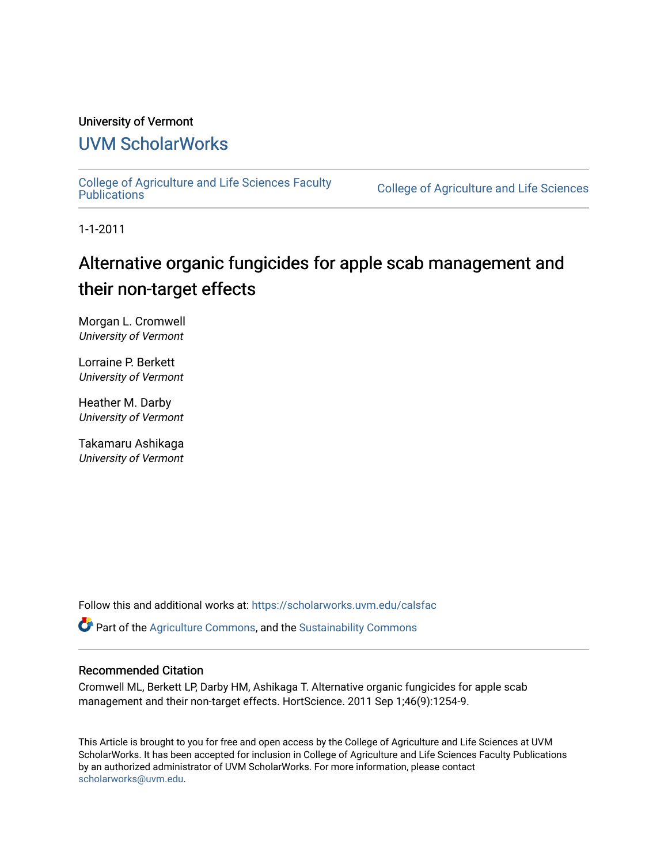## University of Vermont

# [UVM ScholarWorks](https://scholarworks.uvm.edu/)

[College of Agriculture and Life Sciences Faculty](https://scholarworks.uvm.edu/calsfac) 

**College of Agriculture and Life Sciences** 

1-1-2011

# Alternative organic fungicides for apple scab management and their non-target effects

Morgan L. Cromwell University of Vermont

Lorraine P. Berkett University of Vermont

Heather M. Darby University of Vermont

Takamaru Ashikaga University of Vermont

Follow this and additional works at: [https://scholarworks.uvm.edu/calsfac](https://scholarworks.uvm.edu/calsfac?utm_source=scholarworks.uvm.edu%2Fcalsfac%2F164&utm_medium=PDF&utm_campaign=PDFCoverPages)

**P** Part of the [Agriculture Commons](http://network.bepress.com/hgg/discipline/1076?utm_source=scholarworks.uvm.edu%2Fcalsfac%2F164&utm_medium=PDF&utm_campaign=PDFCoverPages), and the Sustainability Commons

### Recommended Citation

Cromwell ML, Berkett LP, Darby HM, Ashikaga T. Alternative organic fungicides for apple scab management and their non-target effects. HortScience. 2011 Sep 1;46(9):1254-9.

This Article is brought to you for free and open access by the College of Agriculture and Life Sciences at UVM ScholarWorks. It has been accepted for inclusion in College of Agriculture and Life Sciences Faculty Publications by an authorized administrator of UVM ScholarWorks. For more information, please contact [scholarworks@uvm.edu](mailto:scholarworks@uvm.edu).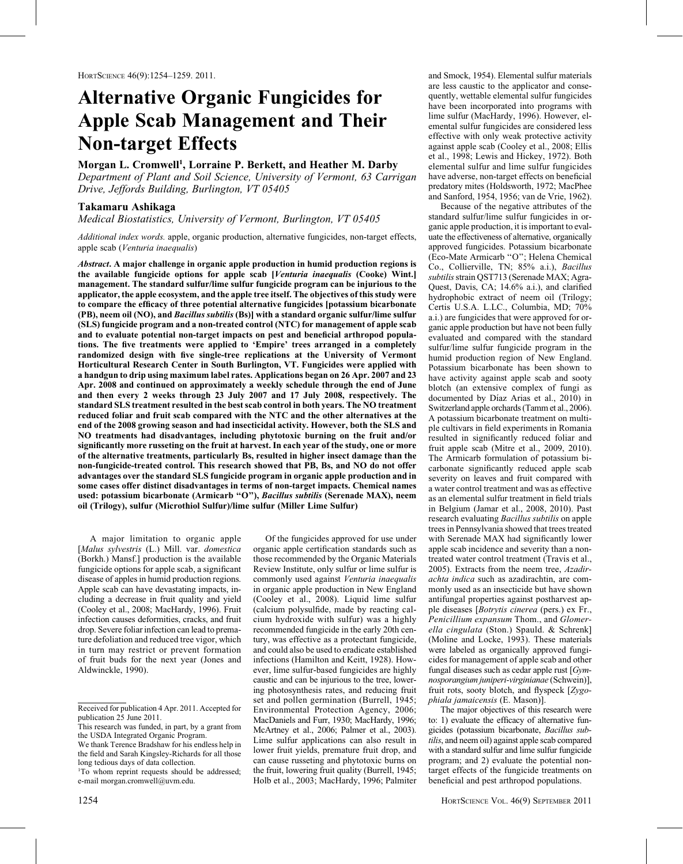# Alternative Organic Fungicides for Apple Scab Management and Their Non-target Effects

## Morgan L. Cromwell<sup>1</sup>, Lorraine P. Berkett, and Heather M. Darby

Department of Plant and Soil Science, University of Vermont, 63 Carrigan Drive, Jeffords Building, Burlington, VT 05405

### Takamaru Ashikaga

Medical Biostatistics, University of Vermont, Burlington, VT 05405

Additional index words, apple, organic production, alternative fungicides, non-target effects, apple scab (Venturia inaequalis)

Abstract. A major challenge in organic apple production in humid production regions is the available fungicide options for apple scab [Venturia inaequalis (Cooke) Wint.] management. The standard sulfur/lime sulfur fungicide program can be injurious to the applicator, the apple ecosystem, and the apple tree itself. The objectives of this study were to compare the efficacy of three potential alternative fungicides [potassium bicarbonate (PB), neem oil (NO), and Bacillus subtilis (Bs)] with a standard organic sulfur/lime sulfur (SLS) fungicide program and a non-treated control (NTC) for management of apple scab and to evaluate potential non-target impacts on pest and beneficial arthropod populations. The five treatments were applied to 'Empire' trees arranged in a completely randomized design with five single-tree replications at the University of Vermont Horticultural Research Center in South Burlington, VT. Fungicides were applied with a handgun to drip using maximum label rates. Applications began on 26 Apr. 2007 and 23 Apr. 2008 and continued on approximately a weekly schedule through the end of June and then every 2 weeks through 23 July 2007 and 17 July 2008, respectively. The standard SLS treatment resulted in the best scab control in both years. The NO treatment reduced foliar and fruit scab compared with the NTC and the other alternatives at the end of the 2008 growing season and had insecticidal activity. However, both the SLS and NO treatments had disadvantages, including phytotoxic burning on the fruit and/or significantly more russeting on the fruit at harvest. In each year of the study, one or more of the alternative treatments, particularly Bs, resulted in higher insect damage than the non-fungicide-treated control. This research showed that PB, Bs, and NO do not offer advantages over the standard SLS fungicide program in organic apple production and in some cases offer distinct disadvantages in terms of non-target impacts. Chemical names used: potassium bicarbonate (Armicarb "O"), Bacillus subtilis (Serenade MAX), neem oil (Trilogy), sulfur (Microthiol Sulfur)/lime sulfur (Miller Lime Sulfur)

A major limitation to organic apple [Malus sylvestris (L.) Mill. var. domestica (Borkh.) Mansf.] production is the available fungicide options for apple scab, a significant disease of apples in humid production regions. Apple scab can have devastating impacts, including a decrease in fruit quality and yield (Cooley et al., 2008; MacHardy, 1996). Fruit infection causes deformities, cracks, and fruit drop. Severe foliar infection can lead to premature defoliation and reduced tree vigor, which in turn may restrict or prevent formation of fruit buds for the next year (Jones and Aldwinckle, 1990).

Of the fungicides approved for use under organic apple certification standards such as those recommended by the Organic Materials Review Institute, only sulfur or lime sulfur is commonly used against Venturia inaequalis in organic apple production in New England (Cooley et al., 2008). Liquid lime sulfur (calcium polysulfide, made by reacting calcium hydroxide with sulfur) was a highly recommended fungicide in the early 20th century, was effective as a protectant fungicide, and could also be used to eradicate established infections (Hamilton and Keitt, 1928). However, lime sulfur-based fungicides are highly caustic and can be injurious to the tree, lowering photosynthesis rates, and reducing fruit set and pollen germination (Burrell, 1945; Environmental Protection Agency, 2006; MacDaniels and Furr, 1930; MacHardy, 1996; McArtney et al., 2006; Palmer et al., 2003). Lime sulfur applications can also result in lower fruit yields, premature fruit drop, and can cause russeting and phytotoxic burns on the fruit, lowering fruit quality (Burrell, 1945; Holb et al., 2003; MacHardy, 1996; Palmiter

and Smock, 1954). Elemental sulfur materials are less caustic to the applicator and consequently, wettable elemental sulfur fungicides have been incorporated into programs with lime sulfur (MacHardy, 1996). However, elemental sulfur fungicides are considered less effective with only weak protective activity against apple scab (Cooley et al., 2008; Ellis et al., 1998; Lewis and Hickey, 1972). Both elemental sulfur and lime sulfur fungicides have adverse, non-target effects on beneficial predatory mites (Holdsworth, 1972; MacPhee and Sanford, 1954, 1956; van de Vrie, 1962).

Because of the negative attributes of the standard sulfur/lime sulfur fungicides in organic apple production, it is important to evaluate the effectiveness of alternative, organically approved fungicides. Potassium bicarbonate (Eco-Mate Armicarb ''O''; Helena Chemical Co., Collierville, TN; 85% a.i.), Bacillus subtilis strain OST713 (Serenade MAX; Agra-Quest, Davis, CA; 14.6% a.i.), and clarified hydrophobic extract of neem oil (Trilogy; Certis U.S.A. L.LC., Columbia, MD; 70% a.i.) are fungicides that were approved for organic apple production but have not been fully evaluated and compared with the standard sulfur/lime sulfur fungicide program in the humid production region of New England. Potassium bicarbonate has been shown to have activity against apple scab and sooty blotch (an extensive complex of fungi as documented by Díaz Arias et al., 2010) in Switzerland apple orchards (Tamm et al., 2006). A potassium bicarbonate treatment on multiple cultivars in field experiments in Romania resulted in significantly reduced foliar and fruit apple scab (Mitre et al., 2009, 2010). The Armicarb formulation of potassium bicarbonate significantly reduced apple scab severity on leaves and fruit compared with a water control treatment and was as effective as an elemental sulfur treatment in field trials in Belgium (Jamar et al., 2008, 2010). Past research evaluating Bacillus subtilis on apple trees in Pennsylvania showed that trees treated with Serenade MAX had significantly lower apple scab incidence and severity than a nontreated water control treatment (Travis et al., 2005). Extracts from the neem tree, Azadirachta indica such as azadirachtin, are commonly used as an insecticide but have shown antifungal properties against postharvest apple diseases [Botrytis cinerea (pers.) ex Fr., Penicillium expansum Thom., and Glomerella cingulata (Ston.) Spauld. & Schrenk] (Moline and Locke, 1993). These materials were labeled as organically approved fungicides for management of apple scab and other fungal diseases such as cedar apple rust [Gymnosporangium juniperi-virginianae (Schwein)], fruit rots, sooty blotch, and flyspeck [Zygophiala jamaicensis (E. Mason)].

The major objectives of this research were to: 1) evaluate the efficacy of alternative fungicides (potassium bicarbonate, Bacillus subtilis, and neem oil) against apple scab compared with a standard sulfur and lime sulfur fungicide program; and 2) evaluate the potential nontarget effects of the fungicide treatments on beneficial and pest arthropod populations.

Received for publication 4 Apr. 2011. Accepted for publication 25 June 2011.

This research was funded, in part, by a grant from the USDA Integrated Organic Program.

We thank Terence Bradshaw for his endless help in the field and Sarah Kingsley-Richards for all those long tedious days of data collection.

<sup>&</sup>lt;sup>1</sup>To whom reprint requests should be addressed; e-mail morgan.cromwell@uvm.edu.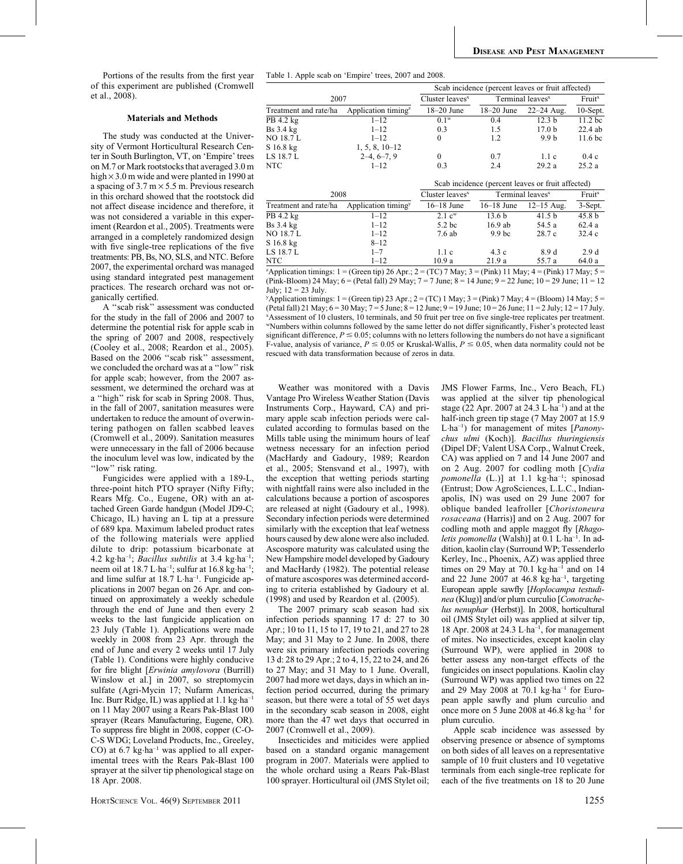Portions of the results from the first year of this experiment are published (Cromwell et al., 2008).

#### Materials and Methods

The study was conducted at the University of Vermont Horticultural Research Center in South Burlington, VT, on 'Empire' trees on M.7 or Mark rootstocks that averaged 3.0 m high  $\times$  3.0 m wide and were planted in 1990 at a spacing of  $3.7 \text{ m} \times 5.5 \text{ m}$ . Previous research in this orchard showed that the rootstock did not affect disease incidence and therefore, it was not considered a variable in this experiment (Reardon et al., 2005). Treatments were arranged in a completely randomized design with five single-tree replications of the five treatments: PB, Bs, NO, SLS, and NTC. Before 2007, the experimental orchard was managed using standard integrated pest management practices. The research orchard was not organically certified.

A ''scab risk'' assessment was conducted for the study in the fall of 2006 and 2007 to determine the potential risk for apple scab in the spring of 2007 and 2008, respectively (Cooley et al., 2008; Reardon et al., 2005). Based on the 2006 ''scab risk'' assessment, we concluded the orchard was at a ''low'' risk for apple scab; however, from the 2007 assessment, we determined the orchard was at a ''high'' risk for scab in Spring 2008. Thus, in the fall of 2007, sanitation measures were undertaken to reduce the amount of overwintering pathogen on fallen scabbed leaves (Cromwell et al., 2009). Sanitation measures were unnecessary in the fall of 2006 because the inoculum level was low, indicated by the "low" risk rating.

Fungicides were applied with a 189-L, three-point hitch PTO sprayer (Nifty Fifty; Rears Mfg. Co., Eugene, OR) with an attached Green Garde handgun (Model JD9-C; Chicago, IL) having an L tip at a pressure of 689 kpa. Maximum labeled product rates of the following materials were applied dilute to drip: potassium bicarbonate at 4.2 kg·ha<sup>-1</sup>; *Bacillus subtilis* at 3.4 kg·ha<sup>-1</sup>; neem oil at 18.7 L-ha–1; sulfur at 16.8 kg-ha–1; and lime sulfur at 18.7 L·ha<sup>-1</sup>. Fungicide applications in 2007 began on 26 Apr. and continued on approximately a weekly schedule through the end of June and then every 2 weeks to the last fungicide application on 23 July (Table 1). Applications were made weekly in 2008 from 23 Apr. through the end of June and every 2 weeks until 17 July (Table 1). Conditions were highly conducive for fire blight [Erwinia amylovora (Burrill) Winslow et al.] in 2007, so streptomycin sulfate (Agri-Mycin 17; Nufarm Americas, Inc. Burr Ridge, IL) was applied at 1.1 kg·ha<sup>-1</sup> on 11 May 2007 using a Rears Pak-Blast 100 sprayer (Rears Manufacturing, Eugene, OR). To suppress fire blight in 2008, copper (C-O-C-S WDG; Loveland Products, Inc., Greeley, CO) at 6.7 kg·ha<sup>-1</sup> was applied to all experimental trees with the Rears Pak-Blast 100 sprayer at the silver tip phenological stage on 18 Apr. 2008.

Table 1. Apple scab on 'Empire' trees, 2007 and 2008.

|                       |                                 | Scab incidence (percent leaves or fruit affected) |                   |                                                   |                     |
|-----------------------|---------------------------------|---------------------------------------------------|-------------------|---------------------------------------------------|---------------------|
| 2007                  |                                 | Cluster leaves <sup>x</sup>                       |                   | Terminal leaves <sup>x</sup>                      | Fruit <sup>x</sup>  |
| Treatment and rate/ha | Application timing <sup>2</sup> | $18-20$ June                                      | $18-20$ June      | $22 - 24$ Aug.                                    | 10-Sept.            |
| PB 4.2 kg             | $1 - 12$                        | $0.1^w$                                           | 0.4               | 12.3 <sub>b</sub>                                 | 11.2 bc             |
| $Bs$ 3.4 $kg$         | $1 - 12$                        | 0.3                                               | 1.5               | 17.0 <sub>b</sub>                                 | $22.4$ ab           |
| <b>NO 18.7 L</b>      | $1 - 12$                        | $\theta$                                          | 1.2               | 9.9 b                                             | 11.6 <sub>b</sub> c |
| $S$ 16.8 kg           | $1, 5, 8, 10-12$                |                                                   |                   |                                                   |                     |
| LS 18.7 L             | $2-4, 6-7, 9$                   | $\boldsymbol{0}$                                  | 0.7               | 1.1c                                              | 0.4c                |
| <b>NTC</b>            | $1 - 12$                        | 0.3                                               | 2.4               | 29.2a                                             | 25.2a               |
|                       |                                 |                                                   |                   | Scab incidence (percent leaves or fruit affected) |                     |
| 2008                  |                                 | Cluster leaves $x$                                |                   | Terminal leaves <sup>x</sup>                      | Fruit <sup>x</sup>  |
| Treatment and rate/ha | Application timing <sup>y</sup> | $16-18$ June                                      | $16-18$ June      | $12 - 15$ Aug.                                    | 3-Sept.             |
| PB 4.2 kg             | $1 - 12$                        | $2.1 \text{ c}^w$                                 | 13.6 b            | 41.5 <sub>b</sub>                                 | 45.8 <sub>b</sub>   |
| <b>Bs</b> 3.4 kg      | $1 - 12$                        | 5.2 <sub>bc</sub>                                 | $16.9$ ab         | 54.5 a                                            | 62.4a               |
| <b>NO 18.7 L</b>      | $1 - 12$                        | 7.6ab                                             | 9.9 <sub>bc</sub> | 28.7 c                                            | 32.4c               |
| S 16.8 kg             | $8 - 12$                        |                                                   |                   |                                                   |                     |
| LS 18.7 L             | $1 - 7$                         | 1.1c                                              | 4.3c              | 8.9 d                                             | 2.9d                |
| <b>NTC</b>            | $1 - 12$                        | 10.9a                                             | 21.9a             | 55.7 a                                            | 64.0 a              |

 ${}^2$ Application timings: 1 = (Green tip) 26 Apr.; 2 = (TC) 7 May; 3 = (Pink) 11 May; 4 = (Pink) 17 May; 5 = (Pink-Bloom) 24 May; 6 = (Petal fall) 29 May; 7 = 7 June; 8 = 14 June; 9 = 22 June; 10 = 29 June; 11 = 12 July;  $12 = 23$  July.

 $\frac{y}{y}$ Application timings: 1 = (Green tip) 23 Apr.; 2 = (TC) 1 May; 3 = (Pink) 7 May; 4 = (Bloom) 14 May; 5 = (Petal fall) 21 May;  $6 = 30$  May;  $7 = 5$  June;  $8 = 12$  June;  $9 = 19$  June;  $10 = 26$  June;  $11 = 2$  July;  $12 = 17$  July. x Assessment of 10 clusters, 10 terminals, and 50 fruit per tree on five single-tree replicates per treatment. wNumbers within columns followed by the same letter do not differ significantly, Fisher's protected least significant difference,  $P \le 0.05$ ; columns with no letters following the numbers do not have a significant F-value, analysis of variance,  $P \le 0.05$  or Kruskal-Wallis,  $P \le 0.05$ , when data normality could not be rescued with data transformation because of zeros in data.

Weather was monitored with a Davis Vantage Pro Wireless Weather Station (Davis Instruments Corp., Hayward, CA) and primary apple scab infection periods were calculated according to formulas based on the Mills table using the minimum hours of leaf wetness necessary for an infection period (MacHardy and Gadoury, 1989; Reardon et al., 2005; Stensvand et al., 1997), with the exception that wetting periods starting with nightfall rains were also included in the calculations because a portion of ascospores are released at night (Gadoury et al., 1998). Secondary infection periods were determined similarly with the exception that leaf wetness hours caused by dew alone were also included. Ascospore maturity was calculated using the New Hampshire model developed by Gadoury and MacHardy (1982). The potential release of mature ascospores was determined according to criteria established by Gadoury et al. (1998) and used by Reardon et al. (2005).

The 2007 primary scab season had six infection periods spanning 17 d: 27 to 30 Apr.; 10 to 11, 15 to 17, 19 to 21, and 27 to 28 May; and 31 May to 2 June. In 2008, there were six primary infection periods covering 13 d: 28 to 29 Apr.; 2 to 4, 15, 22 to 24, and 26 to 27 May; and 31 May to 1 June. Overall, 2007 had more wet days, days in which an infection period occurred, during the primary season, but there were a total of 55 wet days in the secondary scab season in 2008, eight more than the 47 wet days that occurred in 2007 (Cromwell et al., 2009).

Insecticides and miticides were applied based on a standard organic management program in 2007. Materials were applied to the whole orchard using a Rears Pak-Blast 100 sprayer. Horticultural oil (JMS Stylet oil; JMS Flower Farms, Inc., Vero Beach, FL) was applied at the silver tip phenological stage (22 Apr. 2007 at 24.3  $L \cdot ha^{-1}$ ) and at the half-inch green tip stage (7 May 2007 at 15.9 L-ha–1) for management of mites [Panonychus ulmi (Koch)]. Bacillus thuringiensis (Dipel DF; Valent USA Corp., Walnut Creek, CA) was applied on 7 and 14 June 2007 and on 2 Aug. 2007 for codling moth [Cydia pomonella (L.)] at 1.1 kg·ha<sup>-1</sup>; spinosad (Entrust; Dow AgroSciences, L.L.C., Indianapolis, IN) was used on 29 June 2007 for oblique banded leafroller [Choristoneura rosaceana (Harris)] and on 2 Aug. 2007 for codling moth and apple maggot fly [Rhagoletis pomonella (Walsh)] at 0.1 L·ha<sup>-1</sup>. In addition, kaolin clay (Surround WP; Tessenderlo Kerley, Inc., Phoenix, AZ) was applied three times on 29 May at 70.1 kg·ha<sup>-1</sup> and on 14 and 22 June 2007 at 46.8 kg-ha–1, targeting European apple sawfly [Hoplocampa testudinea (Klug)] and/or plum curculio [Conotrachelus nenuphar (Herbst)]. In 2008, horticultural oil (JMS Stylet oil) was applied at silver tip, 18 Apr. 2008 at 24.3 L·ha<sup>-1</sup>, for management of mites. No insecticides, except kaolin clay (Surround WP), were applied in 2008 to better assess any non-target effects of the fungicides on insect populations. Kaolin clay (Surround WP) was applied two times on 22 and 29 May 2008 at 70.1 kg-ha–1 for European apple sawfly and plum curculio and once more on 5 June 2008 at 46.8 kg-ha–1 for plum curculio.

Apple scab incidence was assessed by observing presence or absence of symptoms on both sides of all leaves on a representative sample of 10 fruit clusters and 10 vegetative terminals from each single-tree replicate for each of the five treatments on 18 to 20 June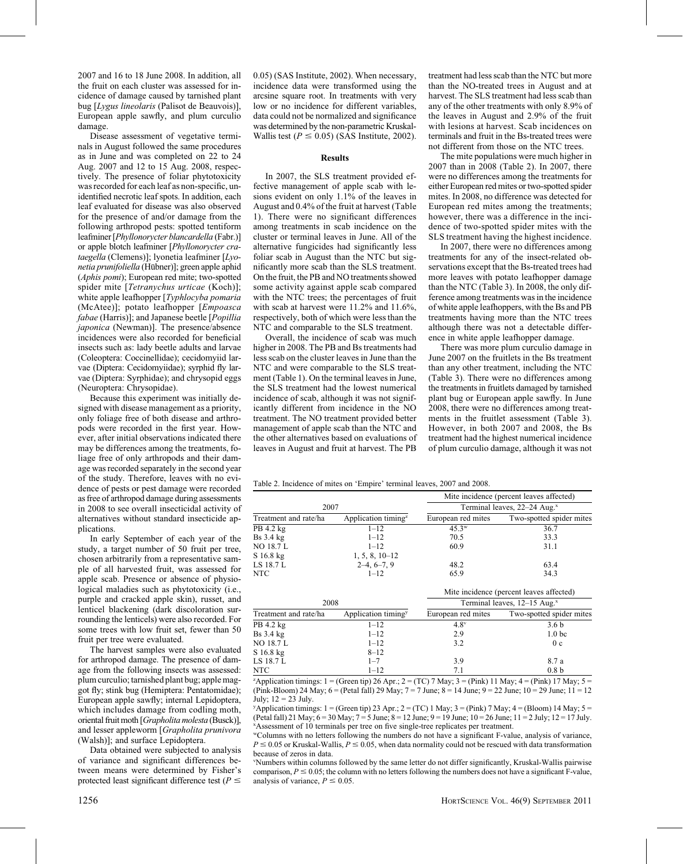2007 and 16 to 18 June 2008. In addition, all the fruit on each cluster was assessed for incidence of damage caused by tarnished plant bug [Lygus lineolaris (Palisot de Beauvois)], European apple sawfly, and plum curculio damage.

Disease assessment of vegetative terminals in August followed the same procedures as in June and was completed on 22 to 24 Aug. 2007 and 12 to 15 Aug. 2008, respectively. The presence of foliar phytotoxicity was recorded for each leaf as non-specific, unidentified necrotic leaf spots. In addition, each leaf evaluated for disease was also observed for the presence of and/or damage from the following arthropod pests: spotted tentiform leafminer [Phyllonorycter blancardella (Fabr.)] or apple blotch leafminer [Phyllonorycter crataegella (Clemens)]; lyonetia leafminer [Lyonetia prunifoliella (Hübner)]; green apple aphid (Aphis pomi); European red mite; two-spotted spider mite [Tetranychus urticae (Koch)]; white apple leafhopper [Typhlocyba pomaria] (McAtee)]; potato leafhopper [Empoasca fabae (Harris)]; and Japanese beetle [Popillia japonica (Newman)]. The presence/absence incidences were also recorded for beneficial insects such as: lady beetle adults and larvae (Coleoptera: Coccinellidae); cecidomyiid larvae (Diptera: Cecidomyiidae); syrphid fly larvae (Diptera: Syrphidae); and chrysopid eggs (Neuroptera: Chrysopidae).

Because this experiment was initially designed with disease management as a priority, only foliage free of both disease and arthropods were recorded in the first year. However, after initial observations indicated there may be differences among the treatments, foliage free of only arthropods and their damage was recorded separately in the second year of the study. Therefore, leaves with no evidence of pests or pest damage were recorded as free of arthropod damage during assessments in 2008 to see overall insecticidal activity of alternatives without standard insecticide applications.

In early September of each year of the study, a target number of 50 fruit per tree, chosen arbitrarily from a representative sample of all harvested fruit, was assessed for apple scab. Presence or absence of physiological maladies such as phytotoxicity (i.e., purple and cracked apple skin), russet, and lenticel blackening (dark discoloration surrounding the lenticels) were also recorded. For some trees with low fruit set, fewer than 50 fruit per tree were evaluated.

The harvest samples were also evaluated for arthropod damage. The presence of damage from the following insects was assessed: plum curculio; tarnished plant bug; apple maggot fly; stink bug (Hemiptera: Pentatomidae); European apple sawfly; internal Lepidoptera, which includes damage from codling moth, oriental fruit moth [Grapholita molesta (Busck)], and lesser appleworm [Grapholita prunivora (Walsh)]; and surface Lepidoptera.

Data obtained were subjected to analysis of variance and significant differences between means were determined by Fisher's protected least significant difference test ( $P \leq$ 

0.05) (SAS Institute, 2002). When necessary, incidence data were transformed using the arcsine square root. In treatments with very low or no incidence for different variables, data could not be normalized and significance was determined by the non-parametric Kruskal-Wallis test ( $P \le 0.05$ ) (SAS Institute, 2002).

#### Results

In 2007, the SLS treatment provided effective management of apple scab with lesions evident on only 1.1% of the leaves in August and 0.4% of the fruit at harvest (Table 1). There were no significant differences among treatments in scab incidence on the cluster or terminal leaves in June. All of the alternative fungicides had significantly less foliar scab in August than the NTC but significantly more scab than the SLS treatment. On the fruit, the PB and NO treatments showed some activity against apple scab compared with the NTC trees; the percentages of fruit with scab at harvest were 11.2% and 11.6%, respectively, both of which were less than the NTC and comparable to the SLS treatment.

Overall, the incidence of scab was much higher in 2008. The PB and Bs treatments had less scab on the cluster leaves in June than the NTC and were comparable to the SLS treatment (Table 1). On the terminal leaves in June, the SLS treatment had the lowest numerical incidence of scab, although it was not significantly different from incidence in the NO treatment. The NO treatment provided better management of apple scab than the NTC and the other alternatives based on evaluations of leaves in August and fruit at harvest. The PB

treatment had less scab than the NTC but more than the NO-treated trees in August and at harvest. The SLS treatment had less scab than any of the other treatments with only 8.9% of the leaves in August and 2.9% of the fruit with lesions at harvest. Scab incidences on terminals and fruit in the Bs-treated trees were not different from those on the NTC trees.

The mite populations were much higher in 2007 than in 2008 (Table 2). In 2007, there were no differences among the treatments for either European red mites or two-spotted spider mites. In 2008, no difference was detected for European red mites among the treatments; however, there was a difference in the incidence of two-spotted spider mites with the SLS treatment having the highest incidence.

In 2007, there were no differences among treatments for any of the insect-related observations except that the Bs-treated trees had more leaves with potato leafhopper damage than the NTC (Table 3). In 2008, the only difference among treatments was in the incidence of white apple leafhoppers, with the Bs and PB treatments having more than the NTC trees although there was not a detectable difference in white apple leafhopper damage.

There was more plum curculio damage in June 2007 on the fruitlets in the Bs treatment than any other treatment, including the NTC (Table 3). There were no differences among the treatments in fruitlets damaged by tarnished plant bug or European apple sawfly. In June 2008, there were no differences among treatments in the fruitlet assessment (Table 3). However, in both 2007 and 2008, the Bs treatment had the highest numerical incidence of plum curculio damage, although it was not

Table 2. Incidence of mites on 'Empire' terminal leaves, 2007 and 2008.

|                       |                                              |                                            | Mite incidence (percent leaves affected) |  |
|-----------------------|----------------------------------------------|--------------------------------------------|------------------------------------------|--|
| 2007                  |                                              | Terminal leaves, 22-24 Aug. <sup>x</sup>   |                                          |  |
| Treatment and rate/ha | Application timing <sup><math>z</math></sup> | European red mites                         | Two-spotted spider mites                 |  |
| PB 4.2 kg             | $1 - 12$                                     | $45.3^{\rm w}$                             | 36.7                                     |  |
| $Bs$ 3.4 $kg$         | $1 - 12$                                     | 70.5                                       | 33.3                                     |  |
| <b>NO 18.7 L</b>      | $1 - 12$                                     | 60.9                                       | 31.1                                     |  |
| S 16.8 kg             | $1, 5, 8, 10-12$                             |                                            |                                          |  |
| LS 18.7 L             | $2-4, 6-7, 9$                                | 48.2                                       | 63.4                                     |  |
| <b>NTC</b>            | $1 - 12$                                     | 65.9                                       | 34.3                                     |  |
|                       |                                              |                                            | Mite incidence (percent leaves affected) |  |
| 2008                  |                                              | Terminal leaves, $12-15$ Aug. <sup>x</sup> |                                          |  |
| Treatment and rate/ha | Application timing <sup>y</sup>              | European red mites                         | Two-spotted spider mites                 |  |
| PB 4.2 kg             | $1 - 12$                                     | $4.8^v$                                    | 3.6 <sub>b</sub>                         |  |
| $Bs$ 3.4 $kg$         | $1 - 12$                                     | 2.9                                        | 1.0 <sub>bc</sub>                        |  |
| <b>NO 18.7 L</b>      | $1 - 12$                                     | 3.2                                        | 0c                                       |  |
| $S$ 16.8 kg           | $8 - 12$                                     |                                            |                                          |  |
| LS 18.7 L             | $1 - 7$                                      | 3.9                                        | 8.7 a                                    |  |

NTC  $1-12$  7.1 0.8 b  $\alpha$ Application timings: 1 = (Green tip) 26 Apr.; 2 = (TC) 7 May; 3 = (Pink) 11 May; 4 = (Pink) 17 May; 5 = (Pink-Bloom) 24 May; 6 = (Petal fall) 29 May; 7 = 7 June; 8 = 14 June; 9 = 22 June; 10 = 29 June; 11 = 12 July:  $12 = 23$  July.

 $y$ Application timings: 1 = (Green tip) 23 Apr.; 2 = (TC) 1 May; 3 = (Pink) 7 May; 4 = (Bloom) 14 May; 5 = (Petal fall) 21 May;  $6 = 30$  May;  $7 = 5$  June;  $8 = 12$  June;  $9 = 19$  June;  $10 = 26$  June;  $11 = 2$  July;  $12 = 17$  July. x Assessment of 10 terminals per tree on five single-tree replicates per treatment.

wColumns with no letters following the numbers do not have a significant F-value, analysis of variance,  $P \le 0.05$  or Kruskal-Wallis,  $P \le 0.05$ , when data normality could not be rescued with data transformation because of zeros in data.

v Numbers within columns followed by the same letter do not differ significantly, Kruskal-Wallis pairwise comparison,  $P \le 0.05$ ; the column with no letters following the numbers does not have a significant F-value, analysis of variance,  $P \le 0.05$ .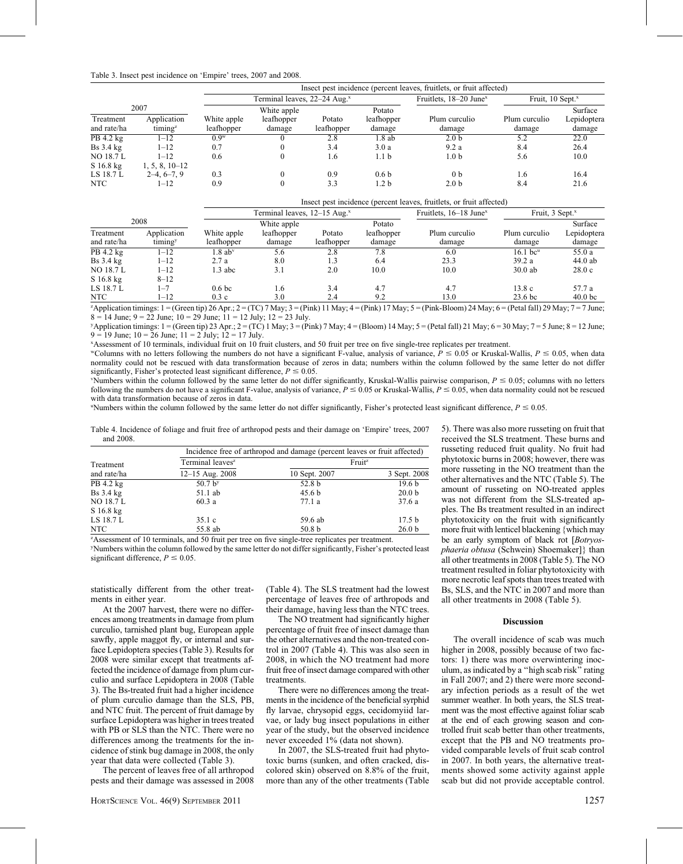| Table 3. Insect pest incidence on 'Empire' trees, 2007 and 2008. |  |  |
|------------------------------------------------------------------|--|--|
|------------------------------------------------------------------|--|--|

|                        |                                     |             |                                          |            |                      | Insect pest incidence (percent leaves, fruitlets, or fruit affected) |                              |                        |  |  |
|------------------------|-------------------------------------|-------------|------------------------------------------|------------|----------------------|----------------------------------------------------------------------|------------------------------|------------------------|--|--|
|                        |                                     |             | Terminal leaves, 22–24 Aug. <sup>x</sup> |            |                      | Fruitlets, 18–20 June <sup>x</sup>                                   | Fruit, 10 Sept. <sup>x</sup> |                        |  |  |
| Treatment              | 2007<br>Application                 | White apple | White apple<br>leafhopper                | Potato     | Potato<br>leafhopper | Plum curculio                                                        | Plum curculio                | Surface<br>Lepidoptera |  |  |
| and rate/ha            | $t$ iming <sup><math>z</math></sup> | leafhopper  | damage                                   | leafhopper | damage               | damage                                                               | damage                       | damage                 |  |  |
| $\overline{PB}$ 4.2 kg | 1–12                                | $0.9^w$     |                                          | 2.8        | 1.8ab                | 2.0 <sub>b</sub>                                                     | 5.2                          | 22.0                   |  |  |
| $Bs$ 3.4 $kg$          | $1 - 12$                            | 0.7         |                                          | 3.4        | 3.0a                 | 9.2a                                                                 | 8.4                          | 26.4                   |  |  |
| NO 18.7 L              | $1 - 12$                            | 0.6         |                                          | 1.6        | 1.1 <sub>b</sub>     | 1.0 <sub>b</sub>                                                     | 5.6                          | 10.0                   |  |  |
| $S$ 16.8 kg            | $1, 5, 8, 10-12$                    |             |                                          |            |                      |                                                                      |                              |                        |  |  |
| LS 18.7 L              | $2-4, 6-7, 9$                       | 0.3         |                                          | 0.9        | 0.6 <sub>b</sub>     | 0 <sub>b</sub>                                                       | 1.6                          | 16.4                   |  |  |
| <b>NTC</b>             | 1–12                                | 0.9         |                                          | 3.3        | 1.2 b                | 2.0 <sub>b</sub>                                                     | 8.4                          | 21.6                   |  |  |

|                          |                        |                           |                                          |                      |                      | Insect pest incidence (percent leaves, fruitlets, or fruit affected) |                         |                       |  |  |
|--------------------------|------------------------|---------------------------|------------------------------------------|----------------------|----------------------|----------------------------------------------------------------------|-------------------------|-----------------------|--|--|
|                          |                        |                           | Terminal leaves, 12–15 Aug. <sup>x</sup> |                      |                      | Fruitlets, 16–18 June <sup>x</sup><br>Fruit, 3 Sept. <sup>x</sup>    |                         |                       |  |  |
|                          | 2008                   |                           | White apple                              |                      | Potato               |                                                                      |                         | Surface               |  |  |
| Treatment<br>and rate/ha | Application<br>timingy | White apple<br>leafhopper | leafhopper<br>damage                     | Potato<br>leafhopper | leafhopper<br>damage | Plum curculio<br>damage                                              | Plum curculio<br>damage | Lepidoptera<br>damage |  |  |
| PB 4.2 kg                | 1–12                   | $1.8~\mathrm{ab}^v$       | 5.6                                      | 2.8                  | 7.8                  | 6.0                                                                  | $16.1$ bc <sup>u</sup>  | 55.0 a                |  |  |
| $Bs$ 3.4 $kg$            | $1 - 12$               | 2.7a                      | 8.0                                      | 1.3                  | 6.4                  | 23.3                                                                 | 39.2a                   | $44.0$ ab             |  |  |
| NO 18.7 L                | 1–12                   | $1.3$ abc                 | 3.1                                      | 2.0                  | 10.0                 | 10.0                                                                 | $30.0$ ab               | 28.0c                 |  |  |
| $S$ 16.8 kg              | $8 - 12$               |                           |                                          |                      |                      |                                                                      |                         |                       |  |  |
| LS 18.7 L                | 1–7                    | 0.6 <sub>b</sub>          | 1.6                                      | 3.4                  | 4.7                  | 4.7                                                                  | 13.8c                   | 57.7 a                |  |  |
| <b>NTC</b>               | $1 - 12$               | 0.3c                      | 3.0                                      | 2.4                  | 9.2                  | 13.0                                                                 | 23.6 <sub>bc</sub>      | 40.0 <sub>bc</sub>    |  |  |

 ${}^{z}$ Application timings: 1 = (Green tip) 26 Apr.; 2 = (TC) 7 May; 3 = (Pink) 11 May; 4 = (Pink) 17 May; 5 = (Pink-Bloom) 24 May; 6 = (Petal fall) 29 May; 7 = 7 June;  $8 = 14$  June;  $9 = 22$  June;  $10 = 29$  June;  $11 = 12$  July;  $12 = 23$  July.

 $\gamma$ Application timings: 1 = (Green tip) 23 Apr.; 2 = (TC) 1 May; 3 = (Pink) 7 May; 4 = (Bloom) 14 May; 5 = (Petal fall) 21 May; 6 = 30 May; 7 = 5 June; 8 = 12 June;  $9 = 19$  June;  $10 = 26$  June;  $11 = 2$  July;  $12 = 17$  July.

x Assessment of 10 terminals, individual fruit on 10 fruit clusters, and 50 fruit per tree on five single-tree replicates per treatment.

"Columns with no letters following the numbers do not have a significant F-value, analysis of variance,  $P \le 0.05$  or Kruskal-Wallis,  $P \le 0.05$ , when data normality could not be rescued with data transformation because of zeros in data; numbers within the column followed by the same letter do not differ significantly, Fisher's protected least significant difference,  $P \le 0.05$ .

'Numbers within the column followed by the same letter do not differ significantly, Kruskal-Wallis pairwise comparison,  $P \le 0.05$ ; columns with no letters following the numbers do not have a significant F-value, analysis of variance,  $P \le 0.05$  or Kruskal-Wallis,  $P \le 0.05$ , when data normality could not be rescued with data transformation because of zeros in data.

"Numbers within the column followed by the same letter do not differ significantly, Fisher's protected least significant difference,  $P \le 0.05$ .

Table 4. Incidence of foliage and fruit free of arthropod pests and their damage on 'Empire' trees, 2007 and 2008.

|                  |                              | Incidence free of arthropod and damage (percent leaves or fruit affected) |                   |  |  |
|------------------|------------------------------|---------------------------------------------------------------------------|-------------------|--|--|
| Treatment        | Terminal leaves <sup>z</sup> | Fruit <sup>z</sup>                                                        |                   |  |  |
| and rate/ha      | $12-15$ Aug. 2008            | 10 Sept. 2007                                                             | 3 Sept. 2008      |  |  |
| PB 4.2 kg        | 50.7 $b^{y}$                 | 52.8 <sub>b</sub>                                                         | 19.6 <sub>b</sub> |  |  |
| $Bs$ 3.4 $kg$    | 51.1 ab                      | 45.6 <sub>b</sub>                                                         | 20.0 <sub>b</sub> |  |  |
| NO 18.7 L        | 60.3a                        | 77.1a                                                                     | 37.6a             |  |  |
| $S$ 16.8 kg      |                              |                                                                           |                   |  |  |
|                  | 35.1c                        | 59.6 ab                                                                   | 17.5 <sub>b</sub> |  |  |
|                  | 55.8 ab                      | 50.8 <sub>b</sub>                                                         | 26.0 <sub>b</sub> |  |  |
| LS 18.7 L<br>NTC |                              |                                                                           |                   |  |  |

<sup>z</sup>Assessment of 10 terminals, and 50 fruit per tree on five single-tree replicates per treatment. y Numbers within the column followed by the same letter do not differ significantly, Fisher's protected least significant difference,  $P \le 0.05$ .

statistically different from the other treatments in either year.

At the 2007 harvest, there were no differences among treatments in damage from plum curculio, tarnished plant bug, European apple sawfly, apple maggot fly, or internal and surface Lepidoptera species (Table 3). Results for 2008 were similar except that treatments affected the incidence of damage from plum curculio and surface Lepidoptera in 2008 (Table 3). The Bs-treated fruit had a higher incidence of plum curculio damage than the SLS, PB, and NTC fruit. The percent of fruit damage by surface Lepidoptera was higher in trees treated with PB or SLS than the NTC. There were no differences among the treatments for the incidence of stink bug damage in 2008, the only year that data were collected (Table 3).

The percent of leaves free of all arthropod pests and their damage was assessed in 2008 (Table 4). The SLS treatment had the lowest percentage of leaves free of arthropods and their damage, having less than the NTC trees.

The NO treatment had significantly higher percentage of fruit free of insect damage than the other alternatives and the non-treated control in 2007 (Table 4). This was also seen in 2008, in which the NO treatment had more fruit free of insect damage compared with other treatments.

There were no differences among the treatments in the incidence of the beneficial syrphid fly larvae, chrysopid eggs, cecidomyiid larvae, or lady bug insect populations in either year of the study, but the observed incidence never exceeded 1% (data not shown).

In 2007, the SLS-treated fruit had phytotoxic burns (sunken, and often cracked, discolored skin) observed on 8.8% of the fruit, more than any of the other treatments (Table

5). There was also more russeting on fruit that received the SLS treatment. These burns and russeting reduced fruit quality. No fruit had phytotoxic burns in 2008; however, there was more russeting in the NO treatment than the other alternatives and the NTC (Table 5). The amount of russeting on NO-treated apples was not different from the SLS-treated apples. The Bs treatment resulted in an indirect phytotoxicity on the fruit with significantly more fruit with lenticel blackening {which may be an early symptom of black rot [Botryosphaeria obtusa (Schwein) Shoemaker]} than all other treatments in 2008 (Table 5). The NO treatment resulted in foliar phytotoxicity with more necrotic leaf spots than trees treated with Bs, SLS, and the NTC in 2007 and more than all other treatments in 2008 (Table 5).

#### Discussion

The overall incidence of scab was much higher in 2008, possibly because of two factors: 1) there was more overwintering inoculum, as indicated by a ''high scab risk'' rating in Fall 2007; and 2) there were more secondary infection periods as a result of the wet summer weather. In both years, the SLS treatment was the most effective against foliar scab at the end of each growing season and controlled fruit scab better than other treatments, except that the PB and NO treatments provided comparable levels of fruit scab control in 2007. In both years, the alternative treatments showed some activity against apple scab but did not provide acceptable control.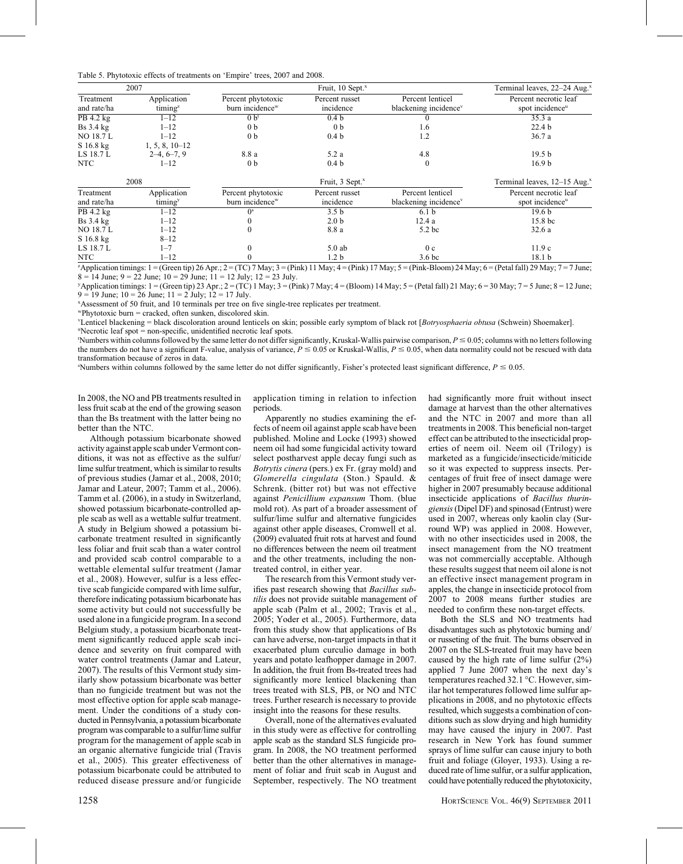| Table 5. Phytotoxic effects of treatments on 'Empire' trees, 2007 and 2008. |  |  |  |  |  |
|-----------------------------------------------------------------------------|--|--|--|--|--|
|-----------------------------------------------------------------------------|--|--|--|--|--|

|                          | 2007                               |                                                   | Fruit, 10 Sept. <sup>x</sup> |                                                       | Terminal leaves, 22-24 Aug. <sup>x</sup>             |
|--------------------------|------------------------------------|---------------------------------------------------|------------------------------|-------------------------------------------------------|------------------------------------------------------|
| Treatment<br>and rate/ha | Application<br>timing <sup>z</sup> | Percent phytotoxic<br>burn incidence <sup>w</sup> | Percent russet<br>incidence  | Percent lenticel<br>blackening incidence <sup>v</sup> | Percent necrotic leaf<br>spot incidence <sup>u</sup> |
| PB 4.2 kg                | $1 - 12$                           | 0 b <sup>t</sup>                                  | 0.4 <sub>b</sub>             |                                                       | 35.3a                                                |
| $Bs$ 3.4 $kg$            | $1 - 12$                           | 0 <sub>b</sub>                                    | 0 <sub>b</sub>               | 1.6                                                   | 22.4 <sub>b</sub>                                    |
| <b>NO 18.7 L</b>         | $1 - 12$                           | 0 <sub>b</sub>                                    | 0.4 <sub>b</sub>             | 1.2                                                   | 36.7 a                                               |
| S 16.8 kg                | $1, 5, 8, 10-12$                   |                                                   |                              |                                                       |                                                      |
| LS 18.7 L                | $2-4, 6-7, 9$                      | 8.8 a                                             | 5.2 a                        | 4.8                                                   | 19.5 <sub>b</sub>                                    |
| NTC                      | $1 - 12$                           | 0 <sub>b</sub>                                    | 0.4 <sub>b</sub>             | $\mathbf{0}$                                          | 16.9 <sub>b</sub>                                    |
|                          | 2008                               |                                                   | Fruit, 3 Sept. <sup>x</sup>  |                                                       | Terminal leaves, $12-15$ Aug. <sup>x</sup>           |
| Treatment<br>and rate/ha | Application<br>timing <sup>y</sup> | Percent phytotoxic<br>burn incidence <sup>w</sup> | Percent russet<br>incidence  | Percent lenticel<br>blackening incidence <sup>v</sup> | Percent necrotic leaf<br>spot incidence <sup>u</sup> |
| PB 4.2 kg                | $1 - 12$                           | O <sup>s</sup>                                    | 3.5 <sub>b</sub>             | 6.1 <sub>b</sub>                                      | 19.6 <sub>b</sub>                                    |
| $Bs$ 3.4 $kg$            | $1 - 12$                           |                                                   | 2.0 <sub>b</sub>             | 12.4a                                                 | 15.8 bc                                              |
| <b>NO 18.7 L</b>         | $1 - 12$                           | $\theta$                                          | 8.8 a                        | 5.2 <sub>bc</sub>                                     | 32.6a                                                |
| S 16.8 kg                | $8 - 12$                           |                                                   |                              |                                                       |                                                      |
| LS 18.7 L                | $1 - 7$                            | $\theta$                                          | $5.0$ ab                     | 0 <sub>c</sub>                                        | 11.9c                                                |
| NTC                      | $1 - 12$                           |                                                   | 1.2 b                        | 3.6 <sub>bc</sub>                                     | 18.1 <sub>b</sub>                                    |

 ${}^{z}$ Application timings: 1 = (Green tip) 26 Apr.; 2 = (TC) 7 May; 3 = (Pink) 11 May; 4 = (Pink) 17 May; 5 = (Pink-Bloom) 24 May; 6 = (Petal fall) 29 May; 7 = 7 June;  $8 = 14$  June;  $9 = 22$  June;  $10 = 29$  June;  $11 = 12$  July;  $12 = 23$  July.

 $\gamma$ Application timings: 1 = (Green tip) 23 Apr.; 2 = (TC) 1 May; 3 = (Pink) 7 May; 4 = (Bloom) 14 May; 5 = (Petal fall) 21 May; 6 = 30 May; 7 = 5 June; 8 = 12 June;  $9 = 19$  June;  $10 = 26$  June;  $11 = 2$  July;  $12 = 17$  July.

x Assessment of 50 fruit, and 10 terminals per tree on five single-tree replicates per treatment.

wPhytotoxic burn = cracked, often sunken, discolored skin.

VLenticel blackening = black discoloration around lenticels on skin; possible early symptom of black rot [Botryosphaeria obtusa (Schwein) Shoemaker]. u Necrotic leaf spot = non-specific, unidentified necrotic leaf spots.

'Numbers within columns followed by the same letter do not differ significantly, Kruskal-Wallis pairwise comparison,  $P \le 0.05$ ; columns with no letters following the numbers do not have a significant F-value, analysis of variance,  $P \le 0.05$  or Kruskal-Wallis,  $P \le 0.05$ , when data normality could not be rescued with data transformation because of zeros in data.

Numbers within columns followed by the same letter do not differ significantly, Fisher's protected least significant difference,  $P \le 0.05$ .

In 2008, the NO and PB treatments resulted in less fruit scab at the end of the growing season than the Bs treatment with the latter being no better than the NTC.

Although potassium bicarbonate showed activity against apple scab under Vermont conditions, it was not as effective as the sulfur/ lime sulfur treatment, which is similar to results of previous studies (Jamar et al., 2008, 2010; Jamar and Lateur, 2007; Tamm et al., 2006). Tamm et al. (2006), in a study in Switzerland, showed potassium bicarbonate-controlled apple scab as well as a wettable sulfur treatment. A study in Belgium showed a potassium bicarbonate treatment resulted in significantly less foliar and fruit scab than a water control and provided scab control comparable to a wettable elemental sulfur treatment (Jamar et al., 2008). However, sulfur is a less effective scab fungicide compared with lime sulfur, therefore indicating potassium bicarbonate has some activity but could not successfully be used alone in a fungicide program. In a second Belgium study, a potassium bicarbonate treatment significantly reduced apple scab incidence and severity on fruit compared with water control treatments (Jamar and Lateur, 2007). The results of this Vermont study similarly show potassium bicarbonate was better than no fungicide treatment but was not the most effective option for apple scab management. Under the conditions of a study conducted in Pennsylvania, a potassium bicarbonate program was comparable to a sulfur/lime sulfur program for the management of apple scab in an organic alternative fungicide trial (Travis et al., 2005). This greater effectiveness of potassium bicarbonate could be attributed to reduced disease pressure and/or fungicide

application timing in relation to infection periods.

Apparently no studies examining the effects of neem oil against apple scab have been published. Moline and Locke (1993) showed neem oil had some fungicidal activity toward select postharvest apple decay fungi such as Botrytis cinera (pers.) ex Fr. (gray mold) and Glomerella cingulata (Ston.) Spauld. & Schrenk. (bitter rot) but was not effective against Penicillium expansum Thom. (blue mold rot). As part of a broader assessment of sulfur/lime sulfur and alternative fungicides against other apple diseases, Cromwell et al. (2009) evaluated fruit rots at harvest and found no differences between the neem oil treatment and the other treatments, including the nontreated control, in either year.

The research from this Vermont study verifies past research showing that Bacillus subtilis does not provide suitable management of apple scab (Palm et al., 2002; Travis et al., 2005; Yoder et al., 2005). Furthermore, data from this study show that applications of Bs can have adverse, non-target impacts in that it exacerbated plum curculio damage in both years and potato leafhopper damage in 2007. In addition, the fruit from Bs-treated trees had significantly more lenticel blackening than trees treated with SLS, PB, or NO and NTC trees. Further research is necessary to provide insight into the reasons for these results.

Overall, none of the alternatives evaluated in this study were as effective for controlling apple scab as the standard SLS fungicide program. In 2008, the NO treatment performed better than the other alternatives in management of foliar and fruit scab in August and September, respectively. The NO treatment

had significantly more fruit without insect damage at harvest than the other alternatives and the NTC in 2007 and more than all treatments in 2008. This beneficial non-target effect can be attributed to the insecticidal properties of neem oil. Neem oil (Trilogy) is marketed as a fungicide/insecticide/miticide so it was expected to suppress insects. Percentages of fruit free of insect damage were higher in 2007 presumably because additional insecticide applications of Bacillus thuringiensis(Dipel DF) and spinosad (Entrust) were used in 2007, whereas only kaolin clay (Surround WP) was applied in 2008. However, with no other insecticides used in 2008, the insect management from the NO treatment was not commercially acceptable. Although these results suggest that neem oil alone is not an effective insect management program in apples, the change in insecticide protocol from 2007 to 2008 means further studies are needed to confirm these non-target effects.

Both the SLS and NO treatments had disadvantages such as phytotoxic burning and/ or russeting of the fruit. The burns observed in 2007 on the SLS-treated fruit may have been caused by the high rate of lime sulfur (2%) applied 7 June 2007 when the next day's temperatures reached 32.1 °C. However, similar hot temperatures followed lime sulfur applications in 2008, and no phytotoxic effects resulted, which suggests a combination of conditions such as slow drying and high humidity may have caused the injury in 2007. Past research in New York has found summer sprays of lime sulfur can cause injury to both fruit and foliage (Gloyer, 1933). Using a reduced rate of lime sulfur, or a sulfur application, could have potentially reduced the phytotoxicity,